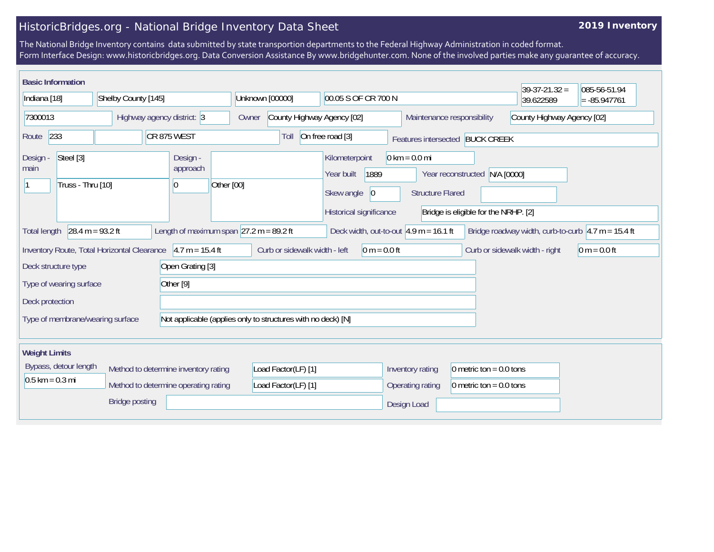## HistoricBridges.org - National Bridge Inventory Data Sheet

## **2019 Inventory**

The National Bridge Inventory contains data submitted by state transportion departments to the Federal Highway Administration in coded format. Form Interface Design: www.historicbridges.org. Data Conversion Assistance By www.bridgehunter.com. None of the involved parties make any guarantee of accuracy.

| <b>Basic Information</b>                                                                                                   |                                             |                                                      |                                                              |                                                                                                |                                                                                             | $39-37-21.32 =$                                                        | 085-56-51.94   |
|----------------------------------------------------------------------------------------------------------------------------|---------------------------------------------|------------------------------------------------------|--------------------------------------------------------------|------------------------------------------------------------------------------------------------|---------------------------------------------------------------------------------------------|------------------------------------------------------------------------|----------------|
| Indiana [18]<br>Shelby County [145]                                                                                        |                                             |                                                      | Unknown [00000]                                              | 00.05 S OF CR 700 N                                                                            |                                                                                             | 39.622589                                                              | $= -85.947761$ |
| 7300013<br>Highway agency district: 3                                                                                      |                                             |                                                      | County Highway Agency [02]<br>Owner                          |                                                                                                | Maintenance responsibility                                                                  | County Highway Agency [02]                                             |                |
| 233<br>Route                                                                                                               | CR875 WEST                                  |                                                      |                                                              | On free road [3]                                                                               | Features intersected BUCK CREEK                                                             |                                                                        |                |
| Steel [3]<br>Design -<br>main<br>Truss - Thru [10]                                                                         |                                             | Design -<br>approach<br>Other [00]<br>$\overline{0}$ |                                                              | Kilometerpoint<br>1889<br>Year built<br>Skew angle<br>$ 0\rangle$                              | $0 \text{ km} = 0.0 \text{ mi}$<br>Year reconstructed N/A [0000]<br><b>Structure Flared</b> |                                                                        |                |
|                                                                                                                            |                                             |                                                      |                                                              | Historical significance                                                                        | Bridge is eligible for the NRHP. [2]                                                        |                                                                        |                |
| 28.4 m = $93.2$ ft<br><b>Total length</b>                                                                                  |                                             |                                                      | Length of maximum span $ 27.2 \text{ m} = 89.2 \text{ ft}$   | Deck width, out-to-out $4.9$ m = 16.1 ft                                                       |                                                                                             | Bridge roadway width, curb-to-curb $ 4.7 \text{ m} = 15.4 \text{ ft} $ |                |
|                                                                                                                            | Inventory Route, Total Horizontal Clearance | $4.7 m = 15.4 ft$                                    | Curb or sidewalk width - left                                | $0 m = 0.0 ft$                                                                                 |                                                                                             | Curb or sidewalk width - right                                         | $0 m = 0.0 ft$ |
| Deck structure type                                                                                                        |                                             | Open Grating [3]                                     |                                                              |                                                                                                |                                                                                             |                                                                        |                |
| Type of wearing surface<br>Other <sup>[9]</sup>                                                                            |                                             |                                                      |                                                              |                                                                                                |                                                                                             |                                                                        |                |
| Deck protection                                                                                                            |                                             |                                                      |                                                              |                                                                                                |                                                                                             |                                                                        |                |
| Type of membrane/wearing surface                                                                                           |                                             |                                                      | Not applicable (applies only to structures with no deck) [N] |                                                                                                |                                                                                             |                                                                        |                |
| <b>Weight Limits</b>                                                                                                       |                                             |                                                      |                                                              |                                                                                                |                                                                                             |                                                                        |                |
| Bypass, detour length<br>Method to determine inventory rating<br>$0.5$ km = 0.3 mi<br>Method to determine operating rating |                                             | Load Factor(LF) [1]<br>Load Factor(LF) [1]           |                                                              | Inventory rating<br>0 metric ton = $0.0$ tons<br>0 metric ton = $0.0$ tons<br>Operating rating |                                                                                             |                                                                        |                |
|                                                                                                                            | <b>Bridge posting</b>                       |                                                      |                                                              |                                                                                                | Design Load                                                                                 |                                                                        |                |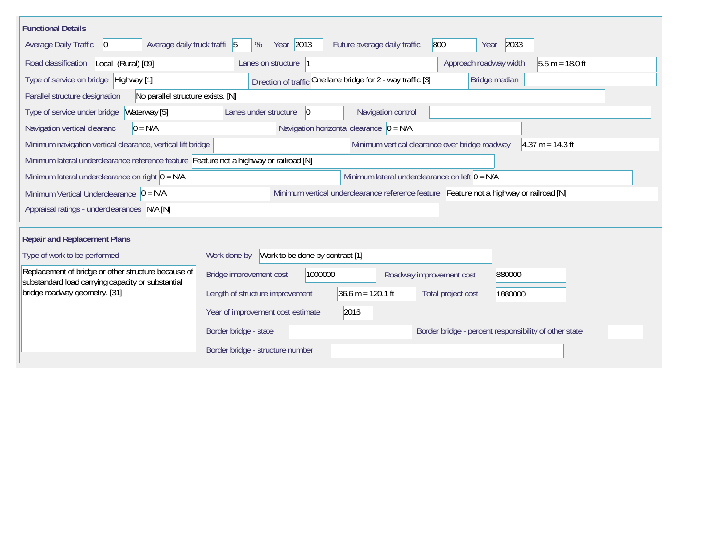| <b>Functional Details</b>                                                                                |                                                 |                                                                                         |                                                       |                    |
|----------------------------------------------------------------------------------------------------------|-------------------------------------------------|-----------------------------------------------------------------------------------------|-------------------------------------------------------|--------------------|
| Average daily truck traffi 5<br>Average Daily Traffic<br>$\vert 0 \vert$                                 | Year 2013<br>%                                  | 800<br>Future average daily traffic                                                     | 2033<br>Year                                          |                    |
| Road classification<br>Local (Rural) [09]                                                                | Lanes on structure  1                           |                                                                                         | Approach roadway width                                | $5.5 m = 18.0 ft$  |
| Type of service on bridge Highway [1]                                                                    |                                                 | Direction of traffic One lane bridge for 2 - way traffic [3]                            | Bridge median                                         |                    |
| No parallel structure exists. [N]<br>Parallel structure designation                                      |                                                 |                                                                                         |                                                       |                    |
| Type of service under bridge<br>Waterway [5]                                                             | Lanes under structure<br>$\vert$ 0              | Navigation control                                                                      |                                                       |                    |
| $0 = N/A$<br>Navigation vertical clearanc                                                                |                                                 | Navigation horizontal clearance $ 0 = N/A $                                             |                                                       |                    |
| Minimum navigation vertical clearance, vertical lift bridge                                              |                                                 | Minimum vertical clearance over bridge roadway                                          |                                                       | $4.37 m = 14.3 ft$ |
| Minimum lateral underclearance reference feature Feature not a highway or railroad [N]                   |                                                 |                                                                                         |                                                       |                    |
| Minimum lateral underclearance on right $0 = N/A$                                                        |                                                 | Minimum lateral underclearance on left $0 = N/A$                                        |                                                       |                    |
| Minimum Vertical Underclearance $ 0 = N/A $                                                              |                                                 | Minimum vertical underclearance reference feature Feature not a highway or railroad [N] |                                                       |                    |
| Appraisal ratings - underclearances N/A [N]                                                              |                                                 |                                                                                         |                                                       |                    |
|                                                                                                          |                                                 |                                                                                         |                                                       |                    |
| <b>Repair and Replacement Plans</b>                                                                      |                                                 |                                                                                         |                                                       |                    |
| Type of work to be performed                                                                             | Work to be done by contract [1]<br>Work done by |                                                                                         |                                                       |                    |
| Replacement of bridge or other structure because of<br>substandard load carrying capacity or substantial | Bridge improvement cost<br>1000000              | Roadway improvement cost                                                                | 880000                                                |                    |
| bridge roadway geometry. [31]                                                                            | Length of structure improvement                 | $36.6 \text{ m} = 120.1 \text{ ft}$                                                     | Total project cost<br>1880000                         |                    |
|                                                                                                          | Year of improvement cost estimate               | 2016                                                                                    |                                                       |                    |
|                                                                                                          | Border bridge - state                           |                                                                                         | Border bridge - percent responsibility of other state |                    |
|                                                                                                          | Border bridge - structure number                |                                                                                         |                                                       |                    |